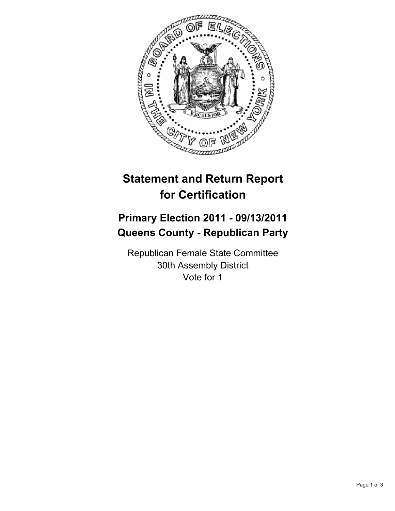

# **Statement and Return Report for Certification**

## **Primary Election 2011 - 09/13/2011 Queens County - Republican Party**

Republican Female State Committee 30th Assembly District Vote for 1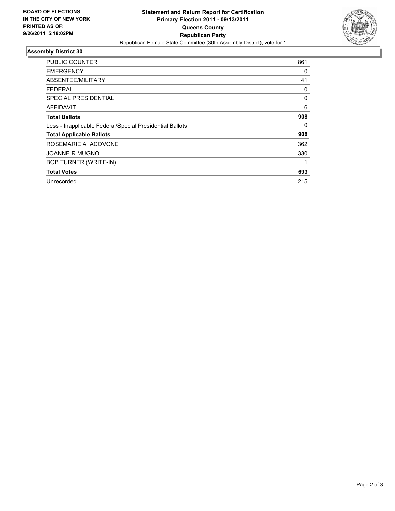

### **Assembly District 30**

| <b>PUBLIC COUNTER</b>                                    | 861 |
|----------------------------------------------------------|-----|
| <b>EMERGENCY</b>                                         | 0   |
| ABSENTEE/MILITARY                                        | 41  |
| <b>FEDERAL</b>                                           | 0   |
| SPECIAL PRESIDENTIAL                                     | 0   |
| <b>AFFIDAVIT</b>                                         | 6   |
| <b>Total Ballots</b>                                     | 908 |
| Less - Inapplicable Federal/Special Presidential Ballots | 0   |
| <b>Total Applicable Ballots</b>                          | 908 |
| ROSEMARIE A IACOVONE                                     | 362 |
| <b>JOANNE R MUGNO</b>                                    | 330 |
| <b>BOB TURNER (WRITE-IN)</b>                             |     |
| <b>Total Votes</b>                                       | 693 |
| Unrecorded                                               | 215 |